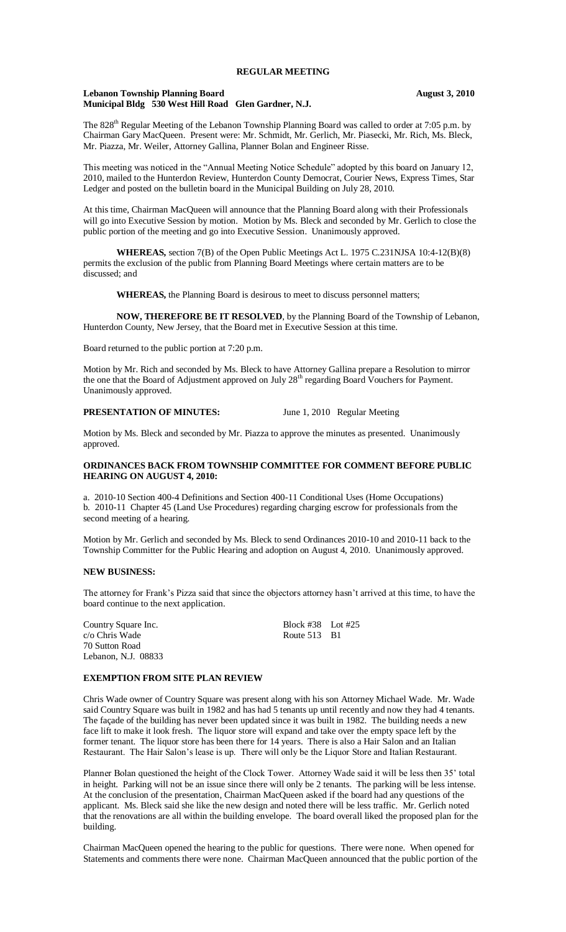#### **Lebanon Township Planning Board August 3, 2010 Municipal Bldg 530 West Hill Road Glen Gardner, N.J.**

The 828<sup>th</sup> Regular Meeting of the Lebanon Township Planning Board was called to order at 7:05 p.m. by Chairman Gary MacQueen. Present were: Mr. Schmidt, Mr. Gerlich, Mr. Piasecki, Mr. Rich, Ms. Bleck, Mr. Piazza, Mr. Weiler, Attorney Gallina, Planner Bolan and Engineer Risse.

This meeting was noticed in the "Annual Meeting Notice Schedule" adopted by this board on January 12, 2010, mailed to the Hunterdon Review, Hunterdon County Democrat, Courier News, Express Times, Star Ledger and posted on the bulletin board in the Municipal Building on July 28, 2010.

At this time, Chairman MacQueen will announce that the Planning Board along with their Professionals will go into Executive Session by motion. Motion by Ms. Bleck and seconded by Mr. Gerlich to close the public portion of the meeting and go into Executive Session. Unanimously approved.

**WHEREAS,** section 7(B) of the Open Public Meetings Act L. 1975 C.231NJSA 10:4-12(B)(8) permits the exclusion of the public from Planning Board Meetings where certain matters are to be discussed; and

**WHEREAS,** the Planning Board is desirous to meet to discuss personnel matters;

**NOW, THEREFORE BE IT RESOLVED**, by the Planning Board of the Township of Lebanon, Hunterdon County, New Jersey, that the Board met in Executive Session at this time.

Board returned to the public portion at 7:20 p.m.

Motion by Mr. Rich and seconded by Ms. Bleck to have Attorney Gallina prepare a Resolution to mirror the one that the Board of Adjustment approved on July 28<sup>th</sup> regarding Board Vouchers for Payment. Unanimously approved.

**PRESENTATION OF MINUTES:** June 1, 2010 Regular Meeting

Motion by Ms. Bleck and seconded by Mr. Piazza to approve the minutes as presented. Unanimously approved.

#### **ORDINANCES BACK FROM TOWNSHIP COMMITTEE FOR COMMENT BEFORE PUBLIC HEARING ON AUGUST 4, 2010:**

a. 2010-10 Section 400-4 Definitions and Section 400-11 Conditional Uses (Home Occupations) b. 2010-11 Chapter 45 (Land Use Procedures) regarding charging escrow for professionals from the second meeting of a hearing.

Motion by Mr. Gerlich and seconded by Ms. Bleck to send Ordinances 2010-10 and 2010-11 back to the Township Committer for the Public Hearing and adoption on August 4, 2010. Unanimously approved.

## **NEW BUSINESS:**

The attorney for Frank's Pizza said that since the objectors attorney hasn't arrived at this time, to have the board continue to the next application.

c/o Chris Wade Route 513 B1 70 Sutton Road Lebanon, N.J. 08833

Country Square Inc. Block #38 Lot #25

# **EXEMPTION FROM SITE PLAN REVIEW**

Chris Wade owner of Country Square was present along with his son Attorney Michael Wade. Mr. Wade said Country Square was built in 1982 and has had 5 tenants up until recently and now they had 4 tenants. The façade of the building has never been updated since it was built in 1982. The building needs a new face lift to make it look fresh. The liquor store will expand and take over the empty space left by the former tenant. The liquor store has been there for 14 years. There is also a Hair Salon and an Italian Restaurant. The Hair Salon's lease is up. There will only be the Liquor Store and Italian Restaurant.

Planner Bolan questioned the height of the Clock Tower. Attorney Wade said it will be less then 35' total in height. Parking will not be an issue since there will only be 2 tenants. The parking will be less intense. At the conclusion of the presentation, Chairman MacQueen asked if the board had any questions of the applicant. Ms. Bleck said she like the new design and noted there will be less traffic. Mr. Gerlich noted that the renovations are all within the building envelope. The board overall liked the proposed plan for the building.

Chairman MacQueen opened the hearing to the public for questions. There were none. When opened for Statements and comments there were none. Chairman MacQueen announced that the public portion of the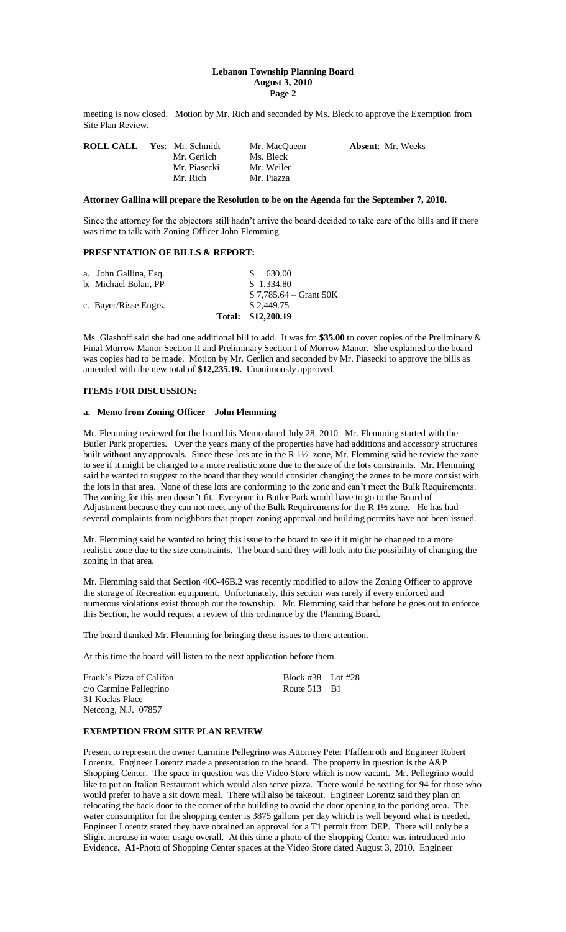#### **Lebanon Township Planning Board August 3, 2010 Page 2**

meeting is now closed. Motion by Mr. Rich and seconded by Ms. Bleck to approve the Exemption from Site Plan Review.

| <b>ROLL CALL</b> | Yes: Mr. Schmidt | Mr. MacOueen | <b>Absent:</b> Mr. Weeks |
|------------------|------------------|--------------|--------------------------|
|                  | Mr. Gerlich      | Ms. Bleck    |                          |
|                  | Mr. Piasecki     | Mr. Weiler   |                          |
|                  | Mr. Rich         | Mr. Piazza   |                          |

## **Attorney Gallina will prepare the Resolution to be on the Agenda for the September 7, 2010.**

Since the attorney for the objectors still hadn't arrive the board decided to take care of the bills and if there was time to talk with Zoning Officer John Flemming.

## **PRESENTATION OF BILLS & REPORT:**

|                       | Total: \$12,200.19      |
|-----------------------|-------------------------|
| c. Bayer/Risse Engrs. | \$2.449.75              |
|                       | $$7,785.64 - Grant 50K$ |
| b. Michael Bolan, PP  | \$1.334.80              |
| a. John Gallina, Esq. | \$ 630.00               |

Ms. Glashoff said she had one additional bill to add. It was for **\$35.00** to cover copies of the Preliminary & Final Morrow Manor Section II and Preliminary Section I of Morrow Manor. She explained to the board was copies had to be made. Motion by Mr. Gerlich and seconded by Mr. Piasecki to approve the bills as amended with the new total of **\$12,235.19.** Unanimously approved.

## **ITEMS FOR DISCUSSION:**

#### **a. Memo from Zoning Officer – John Flemming**

Mr. Flemming reviewed for the board his Memo dated July 28, 2010. Mr. Flemming started with the Butler Park properties. Over the years many of the properties have had additions and accessory structures built without any approvals. Since these lots are in the R 1½ zone, Mr. Flemming said he review the zone to see if it might be changed to a more realistic zone due to the size of the lots constraints. Mr. Flemming said he wanted to suggest to the board that they would consider changing the zones to be more consist with the lots in that area. None of these lots are conforming to the zone and can't meet the Bulk Requirements. The zoning for this area doesn't fit. Everyone in Butler Park would have to go to the Board of Adjustment because they can not meet any of the Bulk Requirements for the R 1½ zone. He has had several complaints from neighbors that proper zoning approval and building permits have not been issued.

Mr. Flemming said he wanted to bring this issue to the board to see if it might be changed to a more realistic zone due to the size constraints. The board said they will look into the possibility of changing the zoning in that area.

Mr. Flemming said that Section 400-46B.2 was recently modified to allow the Zoning Officer to approve the storage of Recreation equipment. Unfortunately, this section was rarely if every enforced and numerous violations exist through out the township. Mr. Flemming said that before he goes out to enforce this Section, he would request a review of this ordinance by the Planning Board.

The board thanked Mr. Flemming for bringing these issues to there attention.

At this time the board will listen to the next application before them.

| Frank's Pizza of Califon | Block $\#38$ Lot $\#28$ |  |
|--------------------------|-------------------------|--|
| c/o Carmine Pellegrino   | Route 513 B1            |  |
| 31 Koclas Place          |                         |  |
| Netcong, N.J. 07857      |                         |  |

## **EXEMPTION FROM SITE PLAN REVIEW**

Present to represent the owner Carmine Pellegrino was Attorney Peter Pfaffenroth and Engineer Robert Lorentz. Engineer Lorentz made a presentation to the board. The property in question is the A&P Shopping Center. The space in question was the Video Store which is now vacant. Mr. Pellegrino would like to put an Italian Restaurant which would also serve pizza. There would be seating for 94 for those who would prefer to have a sit down meal. There will also be takeout. Engineer Lorentz said they plan on relocating the back door to the corner of the building to avoid the door opening to the parking area. The water consumption for the shopping center is 3875 gallons per day which is well beyond what is needed. Engineer Lorentz stated they have obtained an approval for a T1 permit from DEP. There will only be a Slight increase in water usage overall. At this time a photo of the Shopping Center was introduced into Evidence**. A1-**Photo of Shopping Center spaces at the Video Store dated August 3, 2010. Engineer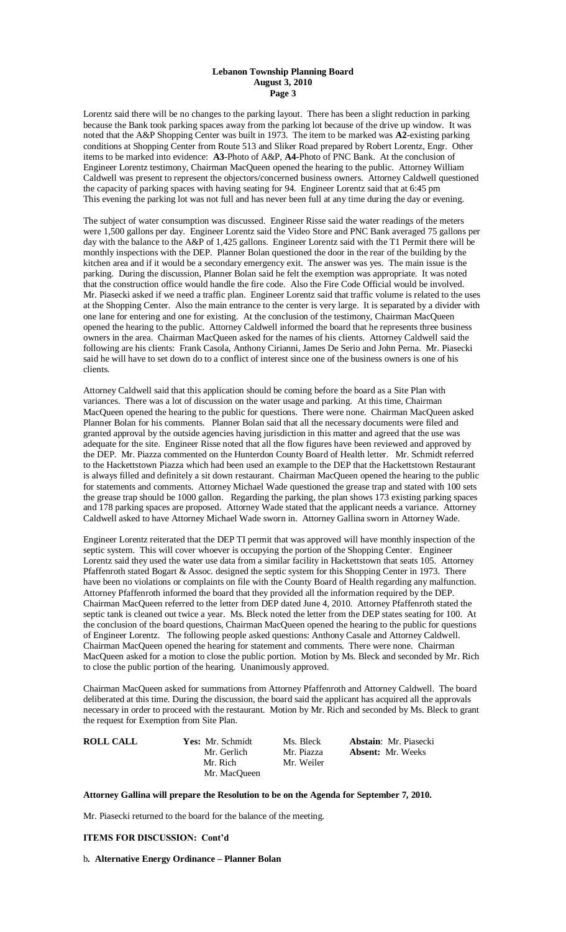#### **Lebanon Township Planning Board August 3, 2010 Page 3**

Lorentz said there will be no changes to the parking layout. There has been a slight reduction in parking because the Bank took parking spaces away from the parking lot because of the drive up window. It was noted that the A&P Shopping Center was built in 1973. The item to be marked was **A2**-existing parking conditions at Shopping Center from Route 513 and Sliker Road prepared by Robert Lorentz, Engr. Other items to be marked into evidence: **A3-**Photo of A&P, **A4-**Photo of PNC Bank. At the conclusion of Engineer Lorentz testimony, Chairman MacQueen opened the hearing to the public. Attorney William Caldwell was present to represent the objectors/concerned business owners. Attorney Caldwell questioned the capacity of parking spaces with having seating for 94. Engineer Lorentz said that at 6:45 pm This evening the parking lot was not full and has never been full at any time during the day or evening.

The subject of water consumption was discussed. Engineer Risse said the water readings of the meters were 1,500 gallons per day. Engineer Lorentz said the Video Store and PNC Bank averaged 75 gallons per day with the balance to the A&P of 1,425 gallons. Engineer Lorentz said with the T1 Permit there will be monthly inspections with the DEP. Planner Bolan questioned the door in the rear of the building by the kitchen area and if it would be a secondary emergency exit. The answer was yes. The main issue is the parking. During the discussion, Planner Bolan said he felt the exemption was appropriate. It was noted that the construction office would handle the fire code. Also the Fire Code Official would be involved. Mr. Piasecki asked if we need a traffic plan. Engineer Lorentz said that traffic volume is related to the uses at the Shopping Center. Also the main entrance to the center is very large. It is separated by a divider with one lane for entering and one for existing. At the conclusion of the testimony, Chairman MacQueen opened the hearing to the public. Attorney Caldwell informed the board that he represents three business owners in the area. Chairman MacQueen asked for the names of his clients. Attorney Caldwell said the following are his clients: Frank Casola, Anthony Cirianni, James De Serio and John Perna. Mr. Piasecki said he will have to set down do to a conflict of interest since one of the business owners is one of his clients.

Attorney Caldwell said that this application should be coming before the board as a Site Plan with variances. There was a lot of discussion on the water usage and parking. At this time, Chairman MacQueen opened the hearing to the public for questions. There were none. Chairman MacQueen asked Planner Bolan for his comments. Planner Bolan said that all the necessary documents were filed and granted approval by the outside agencies having jurisdiction in this matter and agreed that the use was adequate for the site. Engineer Risse noted that all the flow figures have been reviewed and approved by the DEP. Mr. Piazza commented on the Hunterdon County Board of Health letter. Mr. Schmidt referred to the Hackettstown Piazza which had been used an example to the DEP that the Hackettstown Restaurant is always filled and definitely a sit down restaurant. Chairman MacQueen opened the hearing to the public for statements and comments. Attorney Michael Wade questioned the grease trap and stated with 100 sets the grease trap should be 1000 gallon. Regarding the parking, the plan shows 173 existing parking spaces and 178 parking spaces are proposed. Attorney Wade stated that the applicant needs a variance. Attorney Caldwell asked to have Attorney Michael Wade sworn in. Attorney Gallina sworn in Attorney Wade.

Engineer Lorentz reiterated that the DEP TI permit that was approved will have monthly inspection of the septic system. This will cover whoever is occupying the portion of the Shopping Center. Engineer Lorentz said they used the water use data from a similar facility in Hackettstown that seats 105. Attorney Pfaffenroth stated Bogart & Assoc. designed the septic system for this Shopping Center in 1973. There have been no violations or complaints on file with the County Board of Health regarding any malfunction. Attorney Pfaffenroth informed the board that they provided all the information required by the DEP. Chairman MacQueen referred to the letter from DEP dated June 4, 2010. Attorney Pfaffenroth stated the septic tank is cleaned out twice a year. Ms. Bleck noted the letter from the DEP states seating for 100. At the conclusion of the board questions, Chairman MacQueen opened the hearing to the public for questions of Engineer Lorentz. The following people asked questions: Anthony Casale and Attorney Caldwell. Chairman MacQueen opened the hearing for statement and comments. There were none. Chairman MacQueen asked for a motion to close the public portion. Motion by Ms. Bleck and seconded by Mr. Rich to close the public portion of the hearing. Unanimously approved.

Chairman MacQueen asked for summations from Attorney Pfaffenroth and Attorney Caldwell. The board deliberated at this time. During the discussion, the board said the applicant has acquired all the approvals necessary in order to proceed with the restaurant. Motion by Mr. Rich and seconded by Ms. Bleck to grant the request for Exemption from Site Plan.

| <b>ROLL CALL</b> | <b>Yes:</b> Mr. Schmidt | Ms. Bleck  | <b>Abstain:</b> Mr. Piasecki |
|------------------|-------------------------|------------|------------------------------|
|                  | Mr. Gerlich             | Mr. Piazza | <b>Absent:</b> Mr. Weeks     |
|                  | Mr. Rich                | Mr. Weiler |                              |
|                  | Mr. MacOueen            |            |                              |

### **Attorney Gallina will prepare the Resolution to be on the Agenda for September 7, 2010.**

Mr. Piasecki returned to the board for the balance of the meeting.

### **ITEMS FOR DISCUSSION: Cont'd**

b**. Alternative Energy Ordinance – Planner Bolan**